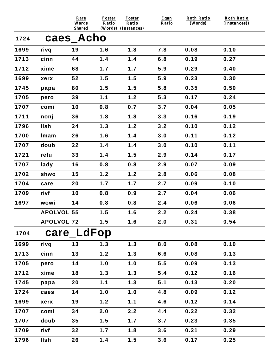|      |                   | Rare<br>Words<br><b>Shared</b> | <b>Foster</b><br>Ratio | <b>Foster</b><br>Ratio<br>(Words) (Instances) | Egan<br>Ratio | <b>Roth Ratio</b><br>(Words) | <b>Roth Ratio</b><br>(Instances)) |
|------|-------------------|--------------------------------|------------------------|-----------------------------------------------|---------------|------------------------------|-----------------------------------|
| 1724 |                   | caes_Acho                      |                        |                                               |               |                              |                                   |
| 1699 | rivq              | 19                             | 1.6                    | 1.8                                           | 7.8           | 0.08                         | 0.10                              |
| 1713 | cinn              | 44                             | 1.4                    | 1.4                                           | 6.8           | 0.19                         | 0.27                              |
| 1712 | xime              | 68                             | 1.7                    | 1.7                                           | 5.9           | 0.29                         | 0.40                              |
| 1699 | xerx              | 52                             | 1.5                    | 1.5                                           | 5.9           | 0.23                         | 0.30                              |
| 1745 | papa              | 80                             | 1.5                    | 1.5                                           | 5.8           | 0.35                         | 0.50                              |
| 1705 | pero              | 39                             | 1.1                    | 1.2                                           | 5.3           | 0.17                         | 0.24                              |
| 1707 | comi              | 10                             | 0.8                    | 0.7                                           | 3.7           | 0.04                         | 0.05                              |
| 1711 | nonj              | 36                             | 1.8                    | 1.8                                           | 3.3           | 0.16                         | 0.19                              |
| 1796 | llsh              | 24                             | 1.3                    | 1.2                                           | 3.2           | 0.10                         | 0.12                              |
| 1700 | Imam              | 26                             | 1.6                    | 1.4                                           | 3.0           | 0.11                         | 0.12                              |
| 1707 | doub              | 22                             | 1.4                    | 1.4                                           | 3.0           | 0.10                         | 0.11                              |
| 1721 | refu              | 33                             | 1.4                    | 1.5                                           | 2.9           | 0.14                         | 0.17                              |
| 1707 | lady              | 16                             | 0.8                    | 0.8                                           | 2.9           | 0.07                         | 0.09                              |
| 1702 | shwo              | 15                             | 1.2                    | 1.2                                           | 2.8           | 0.06                         | 0.08                              |
| 1704 | care              | 20                             | 1.7                    | 1.7                                           | 2.7           | 0.09                         | 0.10                              |
| 1709 | rivf              | 10                             | 0.8                    | 0.9                                           | 2.7           | 0.04                         | 0.06                              |
| 1697 | wowi              | 14                             | 0.8                    | 0.8                                           | 2.4           | 0.06                         | 0.06                              |
|      | <b>APOLVOL 55</b> |                                | 1.5                    | 1.6                                           | 2.2           | 0.24                         | 0.38                              |
|      | <b>APOLVOL 72</b> |                                | 1.5                    | 1.6                                           | 2.0           | 0.31                         | 0.54                              |
| 1704 |                   | care_LdFop                     |                        |                                               |               |                              |                                   |
| 1699 | rivq              | 13                             | 1.3                    | 1.3                                           | 8.0           | 0.08                         | 0.10                              |
| 1713 | cinn              | 13                             | 1.2                    | 1.3                                           | 6.6           | 0.08                         | 0.13                              |
| 1705 | pero              | 14                             | 1.0                    | 1.0                                           | 5.5           | 0.09                         | 0.13                              |
| 1712 | xime              | 18                             | 1.3                    | 1.3                                           | 5.4           | 0.12                         | 0.16                              |
| 1745 | papa              | 20                             | 1.1                    | 1.3                                           | 5.1           | 0.13                         | 0.20                              |
| 1724 | caes              | 14                             | 1.0                    | 1.0                                           | 4.8           | 0.09                         | 0.12                              |
| 1699 | xerx              | 19                             | 1.2                    | 1.1                                           | 4.6           | 0.12                         | 0.14                              |
| 1707 | comi              | 34                             | 2.0                    | 2.2                                           | 4.4           | 0.22                         | 0.32                              |
| 1707 | doub              | 35                             | 1.5                    | 1.7                                           | 3.7           | 0.23                         | 0.35                              |
| 1709 | rivf              | 32                             | 1.7                    | 1.8                                           | 3.6           | 0.21                         | 0.29                              |
| 1796 | <b>Ilsh</b>       | 26                             | 1.4                    | 1.5                                           | 3.6           | 0.17                         | 0.25                              |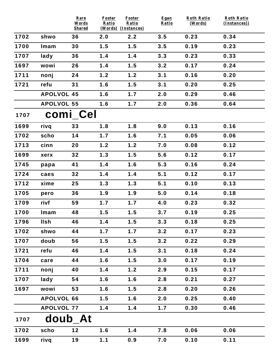|      |                   | Rare<br>Words       | <b>Foster</b><br>Ratio | <b>Foster</b><br>Ratio     | Egan<br>Ratio | <b>Roth Ratio</b><br>(Words) | <b>Roth Ratio</b><br>(Instances)) |
|------|-------------------|---------------------|------------------------|----------------------------|---------------|------------------------------|-----------------------------------|
| 1702 | shwo              | <b>Shared</b><br>36 | 2.0                    | (Words) (Instances)<br>2.2 | 3.5           | 0.23                         | 0.34                              |
| 1700 | Imam              | 30                  | 1.5                    | 1.5                        | 3.5           | 0.19                         | 0.23                              |
| 1707 |                   | 36                  | 1.4                    | 1.4                        | 3.3           | 0.23                         | 0.33                              |
|      | lady              |                     |                        |                            |               |                              |                                   |
| 1697 | wowi              | 26                  | 1.4                    | 1.5                        | 3.2           | 0.17                         | 0.24                              |
| 1711 | nonj              | 24                  | 1.2                    | 1.2                        | 3.1           | 0.16                         | 0.20                              |
| 1721 | refu              | 31                  | 1.6                    | 1.5                        | 3.1           | 0.20                         | 0.25                              |
|      | <b>APOLVOL 45</b> |                     | 1.6                    | 1.7                        | 2.0           | 0.29                         | 0.46                              |
|      | <b>APOLVOL 55</b> |                     | 1.6                    | 1.7                        | 2.0           | 0.36                         | 0.64                              |
| 1707 |                   | comi_Cel            |                        |                            |               |                              |                                   |
| 1699 | rivq              | 33                  | 1.8                    | 1.8                        | 9.0           | 0.13                         | 0.16                              |
| 1702 | scho              | 14                  | 1.7                    | 1.6                        | 7.1           | 0.05                         | 0.06                              |
| 1713 | cinn              | 20                  | 1.2                    | 1.2                        | 7.0           | 0.08                         | 0.12                              |
| 1699 | xerx              | 32                  | 1.3                    | 1.5                        | 5.6           | 0.12                         | 0.17                              |
| 1745 | papa              | 41                  | 1.4                    | 1.6                        | 5.3           | 0.16                         | 0.24                              |
| 1724 | caes              | 32                  | 1.4                    | 1.4                        | 5.1           | 0.12                         | 0.17                              |
| 1712 | xime              | 25                  | 1.3                    | 1.3                        | 5.1           | 0.10                         | 0.13                              |
| 1705 | pero              | 36                  | 1.9                    | 1.9                        | 5.0           | 0.14                         | 0.18                              |
| 1709 | rivf              | 59                  | 1.7                    | 1.7                        | 4.0           | 0.23                         | 0.32                              |
| 1700 | Imam              | 48                  | 1.5                    | 1.5                        | 3.7           | 0.19                         | 0.25                              |
| 1796 | <b>Ilsh</b>       | 46                  | 1.4                    | 1.5                        | 3.3           | 0.18                         | 0.25                              |
| 1702 | shwo              | 44                  | 1.7                    | 1.7                        | 3.2           | 0.17                         | 0.23                              |
| 1707 | doub              | 56                  | 1.5                    | 1.5                        | 3.2           | 0.22                         | 0.29                              |
| 1721 | refu              | 46                  | 1.4                    | 1.5                        | 3.1           | 0.18                         | 0.24                              |
| 1704 | care              | 44                  | 1.6                    | 1.5                        | 3.0           | 0.17                         | 0.19                              |
| 1711 | nonj              | 40                  | 1.4                    | 1.2                        | 2.9           | 0.15                         | 0.17                              |
| 1707 | lady              | 54                  | 1.6                    | 1.6                        | 2.8           | 0.21                         | 0.27                              |
| 1697 | wowi              | 53                  | 1.6                    | 1.5                        | 2.8           | 0.20                         | 0.26                              |
|      | <b>APOLVOL 66</b> |                     | 1.5                    | 1.6                        | 2.0           | 0.25                         | 0.40                              |
|      | <b>APOLVOL 77</b> |                     | 1.4                    | 1.4                        | 1.7           | 0.30                         | 0.46                              |
| 1707 |                   | doub At             |                        |                            |               |                              |                                   |
| 1702 | scho              | $12$                | 1.6                    | 1.4                        | 7.8           | 0.06                         | 0.06                              |
| 1699 | rivq              | 19                  | 1.1                    | 0.9                        | 7.0           | 0.10                         | 0.11                              |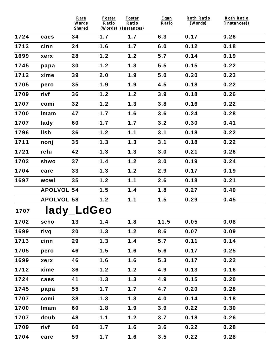|      |                   | Rare<br>Words<br><b>Shared</b> | <b>Foster</b><br>Ratio | <b>Foster</b><br>Ratio<br>(Words) (Instances) | Egan<br>Ratio | <b>Roth Ratio</b><br>(Words) | <b>Roth Ratio</b><br>(Instances)) |
|------|-------------------|--------------------------------|------------------------|-----------------------------------------------|---------------|------------------------------|-----------------------------------|
| 1724 | caes              | 34                             | 1.7                    | 1.7                                           | 6.3           | 0.17                         | 0.26                              |
| 1713 | cinn              | 24                             | 1.6                    | 1.7                                           | 6.0           | 0.12                         | 0.18                              |
| 1699 | xerx              | 28                             | 1.2                    | 1.2                                           | 5.7           | 0.14                         | 0.19                              |
| 1745 | papa              | 30                             | 1.2                    | 1.3                                           | 5.5           | 0.15                         | 0.22                              |
| 1712 | xime              | 39                             | 2.0                    | 1.9                                           | 5.0           | 0.20                         | 0.23                              |
| 1705 | pero              | 35                             | 1.9                    | 1.9                                           | 4.5           | 0.18                         | 0.22                              |
| 1709 | rivf              | 36                             | 1.2                    | 1.2                                           | 3.9           | 0.18                         | 0.26                              |
| 1707 | comi              | 32                             | 1.2                    | 1.3                                           | 3.8           | 0.16                         | 0.22                              |
| 1700 | Imam              | 47                             | 1.7                    | 1.6                                           | 3.6           | 0.24                         | 0.28                              |
| 1707 | lady              | 60                             | 1.7                    | 1.7                                           | 3.2           | 0.30                         | 0.41                              |
| 1796 | <b>Ilsh</b>       | 36                             | 1.2                    | 1.1                                           | 3.1           | 0.18                         | 0.22                              |
| 1711 | nonj              | 35                             | 1.3                    | 1.3                                           | 3.1           | 0.18                         | 0.22                              |
| 1721 | refu              | 42                             | 1.3                    | 1.3                                           | 3.0           | 0.21                         | 0.26                              |
| 1702 | shwo              | 37                             | 1.4                    | 1.2                                           | 3.0           | 0.19                         | 0.24                              |
| 1704 | care              | 33                             | 1.3                    | 1.2                                           | 2.9           | 0.17                         | 0.19                              |
| 1697 | wowi              | 35                             | 1.2                    | 1.1                                           | 2.6           | 0.18                         | 0.21                              |
|      | <b>APOLVOL 54</b> |                                | 1.5                    | 1.4                                           | 1.8           | 0.27                         | 0.40                              |
|      | <b>APOLVOL 58</b> |                                | 1.2                    | 1.1                                           | 1.5           | 0.29                         | 0.45                              |
| 1707 |                   | lady_LdGeo                     |                        |                                               |               |                              |                                   |
| 1702 | scho              | 13                             | 1.4                    | 1.8                                           | 11.5          | 0.05                         | 0.08                              |
| 1699 | rivq              | 20                             | 1.3                    | 1.2                                           | 8.6           | 0.07                         | 0.09                              |
| 1713 | cinn              | 29                             | 1.3                    | 1.4                                           | 5.7           | 0.11                         | 0.14                              |
| 1705 | pero              | 46                             | 1.5                    | 1.6                                           | 5.6           | 0.17                         | 0.25                              |
| 1699 | xerx              | 46                             | 1.6                    | 1.6                                           | 5.3           | 0.17                         | 0.22                              |
| 1712 | xime              | 36                             | 1.2                    | 1.2                                           | 4.9           | 0.13                         | 0.16                              |
| 1724 | caes              | 41                             | 1.3                    | 1.3                                           | 4.9           | 0.15                         | 0.20                              |
| 1745 | papa              | 55                             | 1.7                    | 1.7                                           | 4.7           | 0.20                         | 0.28                              |
| 1707 | comi              | 38                             | 1.3                    | 1.3                                           | 4.0           | 0.14                         | 0.18                              |
| 1700 | Imam              | 60                             | 1.8                    | 1.9                                           | 3.9           | 0.22                         | 0.30                              |
| 1707 | doub              | 48                             | 1.1                    | 1.2                                           | 3.7           | 0.18                         | 0.26                              |
| 1709 | rivf              | 60                             | 1.7                    | 1.6                                           | 3.6           | 0.22                         | 0.28                              |
| 1704 | care              | 59                             | 1.7                    | 1.6                                           | 3.5           | 0.22                         | 0.28                              |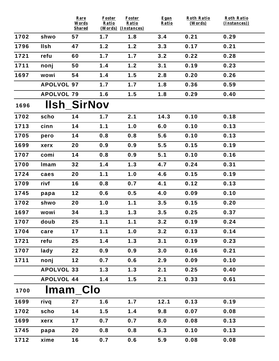|      |                   | Rare<br>Words<br><b>Shared</b> | <b>Foster</b><br>Ratio | <b>Foster</b><br>Ratio<br>(Words) (Instances) | Egan<br>Ratio | <b>Roth Ratio</b><br>(Words) | <b>Roth Ratio</b><br>(Instances)) |
|------|-------------------|--------------------------------|------------------------|-----------------------------------------------|---------------|------------------------------|-----------------------------------|
| 1702 | shwo              | 57                             | 1.7                    | 1.8                                           | 3.4           | 0.21                         | 0.29                              |
| 1796 | <b>IIsh</b>       | 47                             | 1.2                    | 1.2                                           | 3.3           | 0.17                         | 0.21                              |
| 1721 | refu              | 60                             | 1.7                    | 1.7                                           | 3.2           | 0.22                         | 0.28                              |
| 1711 | nonj              | 50                             | 1.4                    | 1.2                                           | 3.1           | 0.19                         | 0.23                              |
| 1697 | wowi              | 54                             | 1.4                    | 1.5                                           | 2.8           | 0.20                         | 0.26                              |
|      | <b>APOLVOL 97</b> |                                | 1.7                    | 1.7                                           | 1.8           | 0.36                         | 0.59                              |
|      | <b>APOLVOL 79</b> |                                | 1.6                    | 1.5                                           | 1.8           | 0.29                         | 0.40                              |
| 1696 |                   | <b>Ilsh SirNov</b>             |                        |                                               |               |                              |                                   |
| 1702 | scho              | 14                             | 1.7                    | 2.1                                           | 14.3          | 0.10                         | 0.18                              |
| 1713 | cinn              | 14                             | 1.1                    | 1.0                                           | 6.0           | 0.10                         | 0.13                              |
| 1705 | pero              | 14                             | 0.8                    | 0.8                                           | 5.6           | 0.10                         | 0.13                              |
| 1699 | xerx              | 20                             | 0.9                    | 0.9                                           | 5.5           | 0.15                         | 0.19                              |
| 1707 | comi              | 14                             | 0.8                    | 0.9                                           | 5.1           | 0.10                         | 0.16                              |
| 1700 | Imam              | 32                             | 1.4                    | 1.3                                           | 4.7           | 0.24                         | 0.31                              |
| 1724 | caes              | 20                             | 1.1                    | 1.0                                           | 4.6           | 0.15                         | 0.19                              |
| 1709 | rivf              | 16                             | 0.8                    | 0.7                                           | 4.1           | 0.12                         | 0.13                              |
| 1745 | papa              | 12                             | 0.6                    | 0.5                                           | 4.0           | 0.09                         | 0.10                              |
| 1702 | shwo              | 20                             | 1.0                    | 1.1                                           | 3.5           | 0.15                         | 0.20                              |
| 1697 | wowi              | 34                             | 1.3                    | 1.3                                           | 3.5           | 0.25                         | 0.37                              |
| 1707 | doub              | 25                             | 1.1                    | 1.1                                           | 3.2           | 0.19                         | 0.24                              |
| 1704 | care              | 17                             | 1.1                    | 1.0                                           | 3.2           | 0.13                         | 0.14                              |
| 1721 | refu              | 25                             | 1.4                    | 1.3                                           | 3.1           | 0.19                         | 0.23                              |
| 1707 | lady              | 22                             | 0.9                    | 0.9                                           | 3.0           | 0.16                         | 0.21                              |
| 1711 | nonj              | 12                             | 0.7                    | 0.6                                           | 2.9           | 0.09                         | 0.10                              |
|      | <b>APOLVOL 33</b> |                                | 1.3                    | 1.3                                           | 2.1           | 0.25                         | 0.40                              |
|      | <b>APOLVOL 44</b> |                                | 1.4                    | 1.5                                           | 2.1           | 0.33                         | 0.61                              |
| 1700 |                   | Imam Clo                       |                        |                                               |               |                              |                                   |
| 1699 | rivq              | 27                             | 1.6                    | 1.7                                           | 12.1          | 0.13                         | 0.19                              |
| 1702 | scho              | 14                             | 1.5                    | 1.4                                           | 9.8           | 0.07                         | 0.08                              |
| 1699 | xerx              | 17                             | 0.7                    | 0.7                                           | 8.0           | 0.08                         | 0.13                              |
| 1745 | papa              | 20                             | 0.8                    | 0.8                                           | 6.3           | 0.10                         | 0.13                              |
| 1712 | xime              | 16                             | 0.7                    | 0.6                                           | 5.9           | 0.08                         | 0.08                              |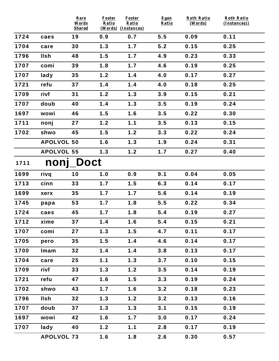|      |                   | Rare<br>Words<br><b>Shared</b> | Foster<br>Ratio | <b>Foster</b><br>Ratio<br>(Words) (Instances) | Egan<br>Ratio | <b>Roth Ratio</b><br>(Words) | <b>Roth Ratio</b><br>(Instances)) |
|------|-------------------|--------------------------------|-----------------|-----------------------------------------------|---------------|------------------------------|-----------------------------------|
| 1724 | caes              | 19                             | 0.9             | 0.7                                           | 5.5           | 0.09                         | 0.11                              |
| 1704 | care              | 30                             | 1.3             | 1.7                                           | 5.2           | 0.15                         | 0.25                              |
| 1796 | <b>Ilsh</b>       | 48                             | 1.5             | 1.7                                           | 4.9           | 0.23                         | 0.33                              |
| 1707 | comi              | 39                             | 1.8             | 1.7                                           | 4.6           | 0.19                         | 0.25                              |
| 1707 | lady              | 35                             | 1.2             | 1.4                                           | 4.0           | 0.17                         | 0.27                              |
| 1721 | refu              | 37                             | 1.4             | 1.4                                           | 4.0           | 0.18                         | 0.25                              |
| 1709 | rivf              | 31                             | 1.2             | 1.3                                           | 3.9           | 0.15                         | 0.21                              |
| 1707 | doub              | 40                             | 1.4             | 1.3                                           | 3.5           | 0.19                         | 0.24                              |
| 1697 | wowi              | 46                             | 1.5             | 1.6                                           | 3.5           | 0.22                         | 0.30                              |
| 1711 | nonj              | 27                             | 1.2             | 1.1                                           | 3.5           | 0.13                         | 0.15                              |
| 1702 | shwo              | 45                             | 1.5             | 1.2                                           | 3.3           | 0.22                         | 0.24                              |
|      | <b>APOLVOL 50</b> |                                | 1.6             | 1.3                                           | 1.9           | 0.24                         | 0.31                              |
|      | <b>APOLVOL 55</b> |                                | 1.3             | 1.2                                           | 1.7           | 0.27                         | 0.40                              |
| 1711 | nonj              | <b>Doct</b>                    |                 |                                               |               |                              |                                   |
| 1699 | rivq              | 10                             | 1.0             | 0.9                                           | 9.1           | 0.04                         | 0.05                              |
| 1713 | cinn              | 33                             | 1.7             | 1.5                                           | 6.3           | 0.14                         | 0.17                              |
| 1699 | xerx              | 35                             | 1.7             | 1.7                                           | 5.6           | 0.14                         | 0.19                              |
| 1745 | papa              | 53                             | 1.7             | 1.8                                           | 5.5           | 0.22                         | 0.34                              |
| 1724 | caes              | 45                             | 1.7             | 1.8                                           | 5.4           | 0.19                         | 0.27                              |
| 1712 | xime              | 37                             | 1.4             | 1.6                                           | 5.4           | 0.15                         | 0.21                              |
| 1707 | comi              | 27                             | 1.3             | 1.5                                           | 4.7           | 0.11                         | 0.17                              |
| 1705 | pero              | 35                             | 1.5             | 1.4                                           | 4.6           | 0.14                         | 0.17                              |
| 1700 | Imam              | 32                             | 1.4             | 1.4                                           | 3.8           | 0.13                         | 0.17                              |
| 1704 | care              | 25                             | 1.1             | 1.3                                           | 3.7           | 0.10                         | 0.15                              |
| 1709 | rivf              | 33                             | 1.3             | 1.2                                           | 3.5           | 0.14                         | 0.19                              |
| 1721 | refu              | 47                             | 1.6             | 1.5                                           | 3.3           | 0.19                         | 0.24                              |
| 1702 | shwo              | 43                             | 1.7             | 1.6                                           | 3.2           | 0.18                         | 0.23                              |
| 1796 | <b>Ilsh</b>       | 32                             | 1.3             | 1.2                                           | 3.2           | 0.13                         | 0.16                              |
| 1707 | doub              | 37                             | 1.3             | 1.3                                           | 3.1           | 0.15                         | 0.19                              |
| 1697 | wowi              | 42                             | 1.6             | 1.7                                           | 3.0           | 0.17                         | 0.24                              |
| 1707 | lady              | 40                             | 1.2             | 1.1                                           | 2.8           | 0.17                         | 0.19                              |
|      | <b>APOLVOL 73</b> |                                | 1.6             | 1.8                                           | 2.6           | 0.30                         | 0.57                              |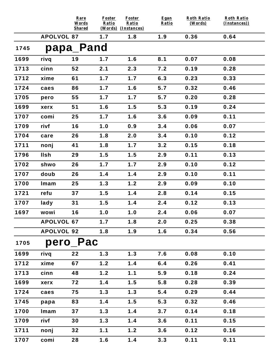|      |                   | Rare<br>Words<br><b>Shared</b> | <b>Foster</b><br>Ratio | <b>Foster</b><br>Ratio<br>(Words) (Instances) | Egan<br>Ratio | <b>Roth Ratio</b><br>(Words) | <b>Roth Ratio</b><br>(Instances)) |
|------|-------------------|--------------------------------|------------------------|-----------------------------------------------|---------------|------------------------------|-----------------------------------|
|      | <b>APOLVOL 87</b> |                                | 1.7                    | 1.8                                           | 1.9           | 0.36                         | 0.64                              |
| 1745 |                   | papa_Pand                      |                        |                                               |               |                              |                                   |
| 1699 | rivq              | 19                             | 1.7                    | 1.6                                           | 8.1           | 0.07                         | 0.08                              |
| 1713 | cinn              | 52                             | 2.1                    | 2.3                                           | 7.2           | 0.19                         | 0.28                              |
| 1712 | xime              | 61                             | 1.7                    | 1.7                                           | 6.3           | 0.23                         | 0.33                              |
| 1724 | caes              | 86                             | 1.7                    | 1.6                                           | 5.7           | 0.32                         | 0.46                              |
| 1705 | pero              | 55                             | 1.7                    | 1.7                                           | 5.7           | 0.20                         | 0.28                              |
| 1699 | xerx              | 51                             | 1.6                    | 1.5                                           | 5.3           | 0.19                         | 0.24                              |
| 1707 | comi              | 25                             | 1.7                    | 1.6                                           | 3.6           | 0.09                         | 0.11                              |
| 1709 | rivf              | 16                             | 1.0                    | 0.9                                           | 3.4           | 0.06                         | 0.07                              |
| 1704 | care              | 26                             | 1.8                    | 2.0                                           | 3.4           | 0.10                         | 0.12                              |
| 1711 | nonj              | 41                             | 1.8                    | 1.7                                           | 3.2           | 0.15                         | 0.18                              |
| 1796 | <b>Ilsh</b>       | 29                             | 1.5                    | 1.5                                           | 2.9           | 0.11                         | 0.13                              |
| 1702 | shwo              | 26                             | 1.7                    | 1.7                                           | 2.9           | 0.10                         | 0.12                              |
| 1707 | doub              | 26                             | 1.4                    | 1.4                                           | 2.9           | 0.10                         | 0.11                              |
| 1700 | Imam              | 25                             | 1.3                    | 1.2                                           | 2.9           | 0.09                         | 0.10                              |
| 1721 | refu              | 37                             | 1.5                    | 1.4                                           | 2.8           | 0.14                         | 0.15                              |
| 1707 | lady              | 31                             | 1.5                    | 1.4                                           | 2.4           | 0.12                         | 0.13                              |
| 1697 | wowi              | 16                             | 1.0                    | 1.0                                           | 2.4           | 0.06                         | 0.07                              |
|      | <b>APOLVOL 67</b> |                                | 1.7                    | 1.8                                           | 2.0           | 0.25                         | 0.38                              |
|      | <b>APOLVOL 92</b> |                                | 1.8                    | 1.9                                           | 1.6           | 0.34                         | 0.56                              |
| 1705 |                   | pero_Pac                       |                        |                                               |               |                              |                                   |
| 1699 | rivq              | 22                             | 1.3                    | 1.3                                           | 7.6           | 0.08                         | 0.10                              |
| 1712 | xime              | 67                             | 1.2                    | 1.4                                           | 6.4           | 0.26                         | 0.41                              |
| 1713 | cinn              | 48                             | 1.2                    | 1.1                                           | 5.9           | 0.18                         | 0.24                              |
| 1699 | xerx              | 72                             | 1.4                    | 1.5                                           | 5.8           | 0.28                         | 0.39                              |
| 1724 | caes              | 75                             | 1.3                    | 1.3                                           | 5.4           | 0.29                         | 0.44                              |
| 1745 | papa              | 83                             | 1.4                    | 1.5                                           | 5.3           | 0.32                         | 0.46                              |
| 1700 | Imam              | 37                             | 1.3                    | 1.4                                           | 3.7           | 0.14                         | 0.18                              |
| 1709 | rivf              | 30                             | 1.3                    | 1.4                                           | 3.6           | 0.11                         | 0.15                              |
| 1711 | nonj              | 32                             | 1.1                    | 1.2                                           | 3.6           | 0.12                         | 0.16                              |
| 1707 | comi              | 28                             | 1.6                    | 1.4                                           | 3.3           | 0.11                         | 0.11                              |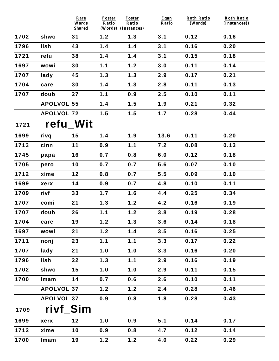|      |                   | Rare<br>Words<br><b>Shared</b> | Foster<br>Ratio | <b>Foster</b><br>Ratio<br>(Words) (Instances) | Egan<br>Ratio | <b>Roth Ratio</b><br>(Words) | <b>Roth Ratio</b><br>(Instances)) |
|------|-------------------|--------------------------------|-----------------|-----------------------------------------------|---------------|------------------------------|-----------------------------------|
| 1702 | shwo              | 31                             | 1.2             | 1.3                                           | 3.1           | 0.12                         | 0.16                              |
| 1796 | <b>IIsh</b>       | 43                             | 1.4             | 1.4                                           | 3.1           | 0.16                         | 0.20                              |
| 1721 | refu              | 38                             | 1.4             | 1.4                                           | 3.1           | 0.15                         | 0.18                              |
| 1697 | wowi              | 30                             | 1.1             | 1.2                                           | 3.0           | 0.11                         | 0.14                              |
| 1707 | lady              | 45                             | 1.3             | 1.3                                           | 2.9           | 0.17                         | 0.21                              |
| 1704 | care              | 30                             | 1.4             | 1.3                                           | 2.8           | 0.11                         | 0.13                              |
| 1707 | doub              | 27                             | 1.1             | 0.9                                           | 2.5           | 0.10                         | 0.11                              |
|      | <b>APOLVOL 55</b> |                                | 1.4             | 1.5                                           | 1.9           | 0.21                         | 0.32                              |
|      | <b>APOLVOL 72</b> |                                | 1.5             | 1.5                                           | 1.7           | 0.28                         | 0.44                              |
| 1721 | refu_Wit          |                                |                 |                                               |               |                              |                                   |
| 1699 | rivq              | 15                             | 1.4             | 1.9                                           | 13.6          | 0.11                         | 0.20                              |
| 1713 | cinn              | 11                             | 0.9             | 1.1                                           | 7.2           | 0.08                         | 0.13                              |
| 1745 | papa              | 16                             | 0.7             | 0.8                                           | 6.0           | 0.12                         | 0.18                              |
| 1705 | pero              | 10                             | 0.7             | 0.7                                           | 5.6           | 0.07                         | 0.10                              |
| 1712 | xime              | 12                             | 0.8             | 0.7                                           | 5.5           | 0.09                         | 0.10                              |
| 1699 | xerx              | 14                             | 0.9             | 0.7                                           | 4.8           | 0.10                         | 0.11                              |
| 1709 | rivf              | 33                             | 1.7             | 1.6                                           | 4.4           | 0.25                         | 0.34                              |
| 1707 | comi              | 21                             | 1.3             | 1.2                                           | 4.2           | 0.16                         | 0.19                              |
| 1707 | doub              | 26                             | 1.1             | 1.2                                           | 3.8           | 0.19                         | 0.28                              |
| 1704 | care              | 19                             | 1.2             | 1.3                                           | 3.6           | 0.14                         | 0.18                              |
| 1697 | wowi              | 21                             | 1.2             | 1.4                                           | 3.5           | 0.16                         | 0.25                              |
| 1711 | nonj              | 23                             | 1.1             | 1.1                                           | 3.3           | 0.17                         | 0.22                              |
| 1707 | lady              | 21                             | 1.0             | 1.0                                           | 3.3           | 0.16                         | 0.20                              |
| 1796 | <b>IIsh</b>       | 22                             | 1.3             | 1.1                                           | 2.9           | 0.16                         | 0.19                              |
| 1702 | shwo              | 15                             | 1.0             | 1.0                                           | 2.9           | 0.11                         | 0.15                              |
| 1700 | Imam              | 14                             | 0.7             | 0.6                                           | 2.6           | 0.10                         | 0.11                              |
|      | <b>APOLVOL 37</b> |                                | 1.2             | 1.2                                           | 2.4           | 0.28                         | 0.46                              |
|      | <b>APOLVOL 37</b> |                                | 0.9             | 0.8                                           | 1.8           | 0.28                         | 0.43                              |
| 1709 | rivf Sim          |                                |                 |                                               |               |                              |                                   |
| 1699 | xerx              | $12$                           | 1.0             | 0.9                                           | 5.1           | 0.14                         | 0.17                              |
| 1712 | xime              | 10                             | 0.9             | 0.8                                           | 4.7           | 0.12                         | 0.14                              |
| 1700 | Imam              | 19                             | 1.2             | 1.2                                           | 4.0           | 0.22                         | 0.29                              |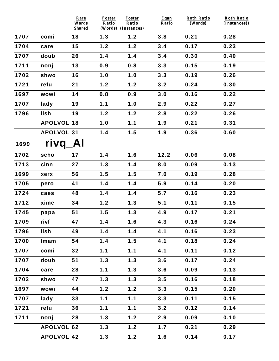|      |                   | Rare<br>Words       | <b>Foster</b><br>Ratio | Foster<br>Ratio            | Egan<br>Ratio | <b>Roth Ratio</b><br>(Words) | <b>Roth Ratio</b><br>(Instances)) |
|------|-------------------|---------------------|------------------------|----------------------------|---------------|------------------------------|-----------------------------------|
| 1707 | comi              | <b>Shared</b><br>18 | 1.3                    | (Words) (Instances)<br>1.2 | 3.8           | 0.21                         | 0.28                              |
|      |                   |                     |                        |                            |               |                              |                                   |
| 1704 | care              | 15                  | 1.2                    | 1.2                        | 3.4           | 0.17                         | 0.23                              |
| 1707 | doub              | 26                  | 1.4                    | 1.4                        | 3.4           | 0.30                         | 0.40                              |
| 1711 | nonj              | 13                  | 0.9                    | 0.8                        | 3.3           | 0.15                         | 0.19                              |
| 1702 | shwo              | 16                  | 1.0                    | 1.0                        | 3.3           | 0.19                         | 0.26                              |
| 1721 | refu              | 21                  | 1.2                    | 1.2                        | 3.2           | 0.24                         | 0.30                              |
| 1697 | wowi              | 14                  | 0.8                    | 0.9                        | 3.0           | 0.16                         | 0.22                              |
| 1707 | lady              | 19                  | 1.1                    | 1.0                        | 2.9           | 0.22                         | 0.27                              |
| 1796 | <b>Ilsh</b>       | 19                  | 1.2                    | 1.2                        | 2.8           | 0.22                         | 0.26                              |
|      | <b>APOLVOL 18</b> |                     | 1.0                    | 1.1                        | 1.9           | 0.21                         | 0.31                              |
|      | <b>APOLVOL 31</b> |                     | 1.4                    | 1.5                        | 1.9           | 0.36                         | 0.60                              |
| 1699 | rivq              | Al                  |                        |                            |               |                              |                                   |
| 1702 | scho              | 17                  | 1.4                    | 1.6                        | 12.2          | 0.06                         | 0.08                              |
| 1713 | cinn              | 27                  | 1.3                    | 1.4                        | 8.0           | 0.09                         | 0.13                              |
| 1699 | xerx              | 56                  | 1.5                    | 1.5                        | 7.0           | 0.19                         | 0.28                              |
| 1705 | pero              | 41                  | 1.4                    | 1.4                        | 5.9           | 0.14                         | 0.20                              |
| 1724 | caes              | 48                  | 1.4                    | 1.4                        | 5.7           | 0.16                         | 0.23                              |
| 1712 | xime              | 34                  | 1.2                    | 1.3                        | 5.1           | 0.11                         | 0.15                              |
| 1745 | papa              | 51                  | 1.5                    | 1.3                        | 4.9           | 0.17                         | 0.21                              |
| 1709 | rivf              | 47                  | 1.4                    | 1.6                        | 4.3           | 0.16                         | 0.24                              |
| 1796 | <b>Ilsh</b>       | 49                  | 1.4                    | 1.4                        | 4.1           | 0.16                         | 0.23                              |
| 1700 | Imam              | 54                  | 1.4                    | 1.5                        | 4.1           | 0.18                         | 0.24                              |
| 1707 | comi              | 32                  | 1.1                    | 1.1                        | 4.1           | 0.11                         | 0.12                              |
| 1707 | doub              | 51                  | 1.3                    | 1.3                        | 3.6           | 0.17                         | 0.24                              |
| 1704 | care              | 28                  | 1.1                    | 1.3                        | 3.6           | 0.09                         | 0.13                              |
| 1702 | shwo              | 47                  | 1.3                    | 1.3                        | 3.5           | 0.16                         | 0.18                              |
| 1697 | wowi              | 44                  | 1.2                    | 1.2                        | 3.3           | 0.15                         | 0.20                              |
| 1707 | lady              | 33                  | 1.1                    | 1.1                        | 3.3           | 0.11                         | 0.15                              |
| 1721 | refu              | 36                  | 1.1                    | 1.1                        | 3.2           | 0.12                         | 0.14                              |
| 1711 | nonj              | 28                  | 1.3                    | 1.2                        | 2.9           | 0.09                         | 0.10                              |
|      | <b>APOLVOL 62</b> |                     | 1.3                    | 1.2                        | 1.7           | 0.21                         | 0.29                              |
|      | <b>APOLVOL 42</b> |                     | 1.3                    | 1.2                        | 1.6           | 0.14                         | 0.17                              |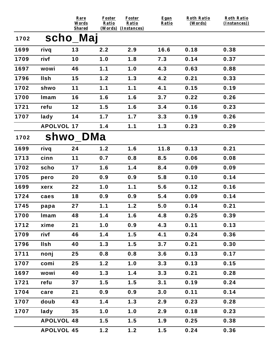|      |                   | Rare<br>Words | <b>Foster</b><br>Ratio | <b>Foster</b><br>Ratio | Egan<br>Ratio | <b>Roth Ratio</b><br>(Words) | <b>Roth Ratio</b><br>(Instances)) |
|------|-------------------|---------------|------------------------|------------------------|---------------|------------------------------|-----------------------------------|
| 1702 | scho_Maj          | <b>Shared</b> |                        | (Words) (Instances)    |               |                              |                                   |
| 1699 | rivq              | 13            | 2.2                    | 2.9                    | 16.6          | 0.18                         | 0.38                              |
| 1709 | rivf              | 10            | 1.0                    | 1.8                    | 7.3           | 0.14                         | 0.37                              |
| 1697 | wowi              | 46            | 1.1                    | 1.0                    | 4.3           | 0.63                         | 0.88                              |
| 1796 | <b>Ilsh</b>       | 15            | 1.2                    | 1.3                    | 4.2           | 0.21                         | 0.33                              |
| 1702 | shwo              | 11            | 1.1                    | 1.1                    | 4.1           | 0.15                         | 0.19                              |
| 1700 | Imam              | 16            | 1.6                    | 1.6                    | 3.7           | 0.22                         | 0.26                              |
| 1721 | refu              | 12            | 1.5                    | 1.6                    | 3.4           | 0.16                         | 0.23                              |
| 1707 | lady              | 14            | 1.7                    | 1.7                    | 3.3           | 0.19                         | 0.26                              |
|      | <b>APOLVOL 17</b> |               | 1.4                    | 1.1                    | 1.3           | 0.23                         | 0.29                              |
| 1702 |                   | shwo_DMa      |                        |                        |               |                              |                                   |
| 1699 | rivq              | 24            | 1.2                    | 1.6                    | 11.8          | 0.13                         | 0.21                              |
| 1713 | cinn              | $11$          | 0.7                    | 0.8                    | 8.5           | 0.06                         | 0.08                              |
| 1702 | scho              | 17            | 1.6                    | 1.4                    | 8.4           | 0.09                         | 0.09                              |
| 1705 | pero              | 20            | 0.9                    | 0.9                    | 5.8           | 0.10                         | 0.14                              |
| 1699 | xerx              | 22            | 1.0                    | 1.1                    | 5.6           | 0.12                         | 0.16                              |
| 1724 | caes              | 18            | 0.9                    | 0.9                    | 5.4           | 0.09                         | 0.14                              |
| 1745 | papa              | 27            | 1.1                    | 1.2                    | 5.0           | 0.14                         | 0.21                              |
| 1700 | Imam              | 48            | 1.4                    | 1.6                    | 4.8           | 0.25                         | 0.39                              |
| 1712 | xime              | 21            | 1.0                    | 0.9                    | 4.3           | 0.11                         | 0.13                              |
| 1709 | rivf              | 46            | 1.4                    | 1.5                    | 4.1           | 0.24                         | 0.36                              |
| 1796 | llsh              | 40            | 1.3                    | 1.5                    | 3.7           | 0.21                         | 0.30                              |
| 1711 | nonj              | 25            | 0.8                    | 0.8                    | 3.6           | 0.13                         | 0.17                              |
| 1707 | comi              | 25            | 1.2                    | 1.0                    | 3.3           | 0.13                         | 0.15                              |
| 1697 | wowi              | 40            | 1.3                    | 1.4                    | 3.3           | 0.21                         | 0.28                              |
| 1721 | refu              | 37            | 1.5                    | 1.5                    | 3.1           | 0.19                         | 0.24                              |
| 1704 | care              | 21            | 0.9                    | 0.9                    | 3.0           | 0.11                         | 0.14                              |
| 1707 | doub              | 43            | 1.4                    | 1.3                    | 2.9           | 0.23                         | 0.28                              |
| 1707 | lady              | 35            | 1.0                    | 1.0                    | 2.9           | 0.18                         | 0.23                              |
|      | <b>APOLVOL 48</b> |               | 1.5                    | 1.5                    | 1.9           | 0.25                         | 0.38                              |
|      | <b>APOLVOL 45</b> |               | 1.2                    | 1.2                    | 1.5           | 0.24                         | 0.36                              |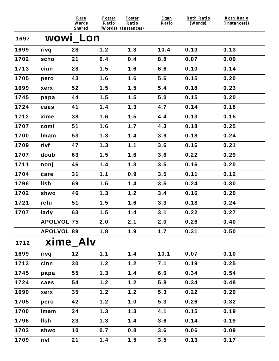|      |                   | Rare<br>Words<br><b>Shared</b> | <b>Foster</b><br>Ratio | <b>Foster</b><br>Ratio<br>(Words) (Instances) | Egan<br>Ratio | <b>Roth Ratio</b><br>(Words) | <b>Roth Ratio</b><br>(Instances)) |
|------|-------------------|--------------------------------|------------------------|-----------------------------------------------|---------------|------------------------------|-----------------------------------|
| 1697 |                   | WOWI LON                       |                        |                                               |               |                              |                                   |
| 1699 | rivq              | 28                             | 1.2                    | 1.3                                           | 10.4          | 0.10                         | 0.13                              |
| 1702 | scho              | 21                             | 0.4                    | 0.4                                           | 8.8           | 0.07                         | 0.09                              |
| 1713 | cinn              | 28                             | 1.5                    | 1.6                                           | 6.6           | 0.10                         | 0.14                              |
| 1705 | pero              | 43                             | 1.6                    | 1.6                                           | 5.6           | 0.15                         | 0.20                              |
| 1699 | xerx              | 52                             | 1.5                    | 1.5                                           | 5.4           | 0.18                         | 0.23                              |
| 1745 | papa              | 44                             | 1.5                    | 1.5                                           | 5.0           | 0.15                         | 0.20                              |
| 1724 | caes              | 41                             | 1.4                    | 1.3                                           | 4.7           | 0.14                         | 0.18                              |
| 1712 | xime              | 38                             | 1.6                    | 1.5                                           | 4.4           | 0.13                         | 0.15                              |
| 1707 | comi              | 51                             | 1.6                    | 1.7                                           | 4.3           | 0.18                         | 0.25                              |
| 1700 | Imam              | 53                             | 1.3                    | 1.4                                           | 3.9           | 0.18                         | 0.24                              |
| 1709 | rivf              | 47                             | 1.3                    | 1.1                                           | 3.6           | 0.16                         | 0.21                              |
| 1707 | doub              | 63                             | 1.5                    | 1.6                                           | 3.6           | 0.22                         | 0.29                              |
| 1711 | nonj              | 46                             | 1.4                    | 1.3                                           | 3.5           | 0.16                         | 0.20                              |
| 1704 | care              | 31                             | 1.1                    | 0.9                                           | 3.5           | 0.11                         | 0.12                              |
| 1796 | <b>Ilsh</b>       | 69                             | 1.5                    | 1.4                                           | 3.5           | 0.24                         | 0.30                              |
| 1702 | shwo              | 46                             | 1.3                    | 1.2                                           | 3.4           | 0.16                         | 0.20                              |
| 1721 | refu              | 51                             | 1.5                    | 1.6                                           | 3.3           | 0.18                         | 0.24                              |
| 1707 | lady              | 63                             | 1.5                    | 1.4                                           | 3.1           | 0.22                         | 0.27                              |
|      | <b>APOLVOL 75</b> |                                | 2.0                    | 2.1                                           | 2.0           | 0.26                         | 0.40                              |
|      | <b>APOLVOL 89</b> |                                | 1.8                    | 1.9                                           | 1.7           | 0.31                         | 0.50                              |
| 1712 |                   | xime Alv                       |                        |                                               |               |                              |                                   |
| 1699 | rivq              | 12                             | 1.1                    | 1.4                                           | 10.1          | 0.07                         | 0.10                              |
| 1713 | cinn              | 30                             | 1.2                    | 1.2                                           | 7.1           | 0.19                         | 0.25                              |
| 1745 | papa              | 55                             | 1.3                    | 1.4                                           | 6.0           | 0.34                         | 0.54                              |
| 1724 | caes              | 54                             | 1.2                    | 1.2                                           | 5.8           | 0.34                         | 0.48                              |
| 1699 | xerx              | 35                             | 1.2                    | 1.2                                           | 5.3           | 0.22                         | 0.29                              |
| 1705 | pero              | 42                             | 1.2                    | 1.0                                           | 5.3           | 0.26                         | 0.32                              |
| 1700 | Imam              | 24                             | 1.3                    | 1.3                                           | 4.1           | 0.15                         | 0.19                              |
| 1796 | <b>Ilsh</b>       | 23                             | 1.3                    | 1.4                                           | 3.6           | 0.14                         | 0.19                              |
| 1702 | shwo              | 10                             | 0.7                    | 0.8                                           | 3.6           | 0.06                         | 0.09                              |
| 1709 | rivf              | 21                             | 1.4                    | 1.5                                           | 3.5           | 0.13                         | 0.17                              |